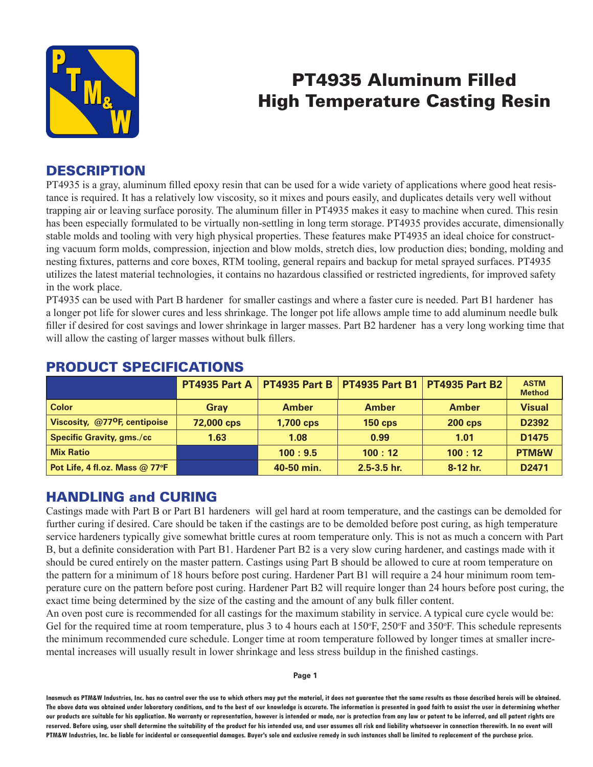

# PT4935 Aluminum Filled High Temperature Casting Resin

## **DESCRIPTION**

PT4935 is a gray, aluminum filled epoxy resin that can be used for a wide variety of applications where good heat resistance is required. It has a relatively low viscosity, so it mixes and pours easily, and duplicates details very well without trapping air or leaving surface porosity. The aluminum filler in PT4935 makes it easy to machine when cured. This resin has been especially formulated to be virtually non-settling in long term storage. PT4935 provides accurate, dimensionally stable molds and tooling with very high physical properties. These features make PT4935 an ideal choice for constructing vacuum form molds, compression, injection and blow molds, stretch dies, low production dies; bonding, molding and nesting fixtures, patterns and core boxes, RTM tooling, general repairs and backup for metal sprayed surfaces. PT4935 utilizes the latest material technologies, it contains no hazardous classified or restricted ingredients, for improved safety in the work place.

PT4935 can be used with Part B hardener for smaller castings and where a faster cure is needed. Part B1 hardener has a longer pot life for slower cures and less shrinkage. The longer pot life allows ample time to add aluminum needle bulk filler if desired for cost savings and lower shrinkage in larger masses. Part B2 hardener has a very long working time that will allow the casting of larger masses without bulk fillers.

|                                           | <b>PT4935 Part A</b> | <b>PT4935 Part B</b> |                 | <b>PT4935 Part B1 PT4935 Part B2</b> | <b>ASTM</b><br><b>Method</b> |
|-------------------------------------------|----------------------|----------------------|-----------------|--------------------------------------|------------------------------|
| <b>Color</b>                              | Grav                 | <b>Amber</b>         | <b>Amber</b>    | <b>Amber</b>                         | <b>Visual</b>                |
| Viscosity, @77 <sup>o</sup> F, centipoise | 72,000 cps           | 1,700 cps            | <b>150 cps</b>  | <b>200 cps</b>                       | D2392                        |
| <b>Specific Gravity, gms./cc</b>          | 1.63                 | 1.08                 | 0.99            | 1.01                                 | D <sub>1475</sub>            |
| <b>Mix Ratio</b>                          |                      | 100:9.5              | 100:12          | 100:12                               | <b>PTM&amp;W</b>             |
| Pot Life, 4 fl.oz. Mass @ 77°F            |                      | 40-50 min.           | $2.5 - 3.5$ hr. | 8-12 hr.                             | D <sub>2471</sub>            |

### PRODUCT SPECIFICATIONS

## HANDLING and CURING

Castings made with Part B or Part B1 hardeners will gel hard at room temperature, and the castings can be demolded for further curing if desired. Care should be taken if the castings are to be demolded before post curing, as high temperature service hardeners typically give somewhat brittle cures at room temperature only. This is not as much a concern with Part B, but a definite consideration with Part B1. Hardener Part B2 is a very slow curing hardener, and castings made with it should be cured entirely on the master pattern. Castings using Part B should be allowed to cure at room temperature on the pattern for a minimum of 18 hours before post curing. Hardener Part B1 will require a 24 hour minimum room temperature cure on the pattern before post curing. Hardener Part B2 will require longer than 24 hours before post curing, the exact time being determined by the size of the casting and the amount of any bulk filler content.

An oven post cure is recommended for all castings for the maximum stability in service. A typical cure cycle would be: Gel for the required time at room temperature, plus 3 to 4 hours each at  $150^\circ$ F,  $250^\circ$ F and  $350^\circ$ F. This schedule represents the minimum recommended cure schedule. Longer time at room temperature followed by longer times at smaller incremental increases will usually result in lower shrinkage and less stress buildup in the finished castings.

**Page 1**

**Inasmuch as PTM&W Industries, Inc. has no control over the use to which others may put the material, it does not guarantee that the same results as those described hereis will be obtained. The above data was obtained under laboratory conditions, and to the best of our knowledge is accurate. The information is presented in good faith to assist the user in determining whether our products are suitable for his application. No warranty or representation, however is intended or made, nor is protection from any law or patent to be inferred, and all patent rights are**  reserved. Before using, user shall determine the suitability of the product for his intended use, and user assumes all risk and liability whatsoever in connection therewith. In no event will **PTM&W Industries, Inc. be liable for incidental or consequential damages. Buyer's sole and exclusive remedy in such instances shall be limited to replacement of the purchase price.**